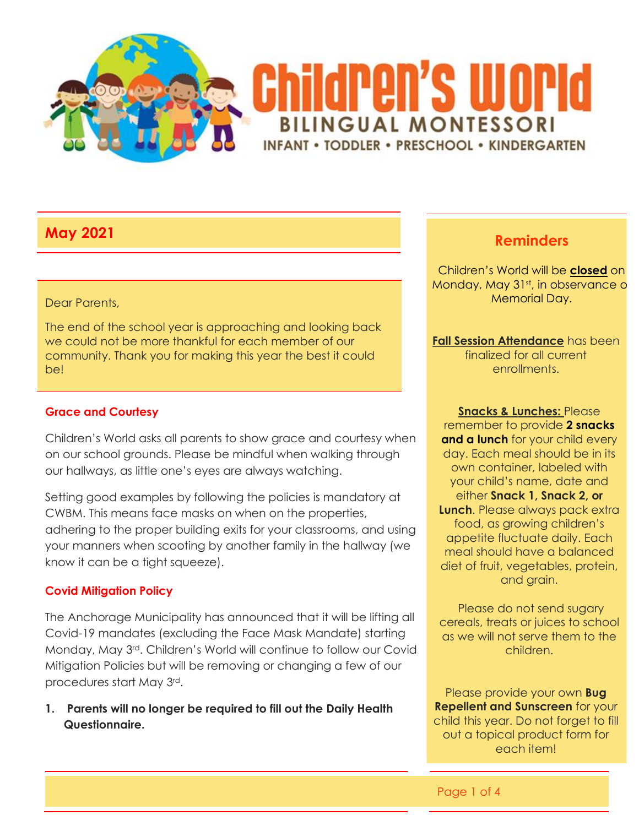

#### Dear Parents,

The end of the school year is approaching and looking back we could not be more thankful for each member of our community. Thank you for making this year the best it could be!

#### **Grace and Courtesy**

Children's World asks all parents to show grace and courtesy when on our school grounds. Please be mindful when walking through our hallways, as little one's eyes are always watching.

Setting good examples by following the policies is mandatory at CWBM. This means face masks on when on the properties, adhering to the proper building exits for your classrooms, and using your manners when scooting by another family in the hallway (we know it can be a tight squeeze).

#### **Covid Mitigation Policy**

The Anchorage Municipality has announced that it will be lifting all Covid-19 mandates (excluding the Face Mask Mandate) starting Monday, May 3rd. Children's World will continue to follow our Covid Mitigation Policies but will be removing or changing a few of our procedures start May 3rd.

**1. Parents will no longer be required to fill out the Daily Health Questionnaire.**

## **May <sup>2021</sup> Reminders**

Children's World will be **closed** on Monday, May 31st, in observance of Memorial Day.

**Fall Session Attendance** has been finalized for all current enrollments.

#### **Snacks & Lunches:** Please

remember to provide **2 snacks and a lunch** for your child every day. Each meal should be in its own container, labeled with your child's name, date and either **Snack 1, Snack 2, or Lunch**. Please always pack extra food, as growing children's appetite fluctuate daily. Each meal should have a balanced diet of fruit, vegetables, protein, and grain.

Please do not send sugary cereals, treats or juices to school as we will not serve them to the children.

Please provide your own **Bug Repellent and Sunscreen** for your child this year. Do not forget to fill out a topical product form for each item!

Page 1 of 4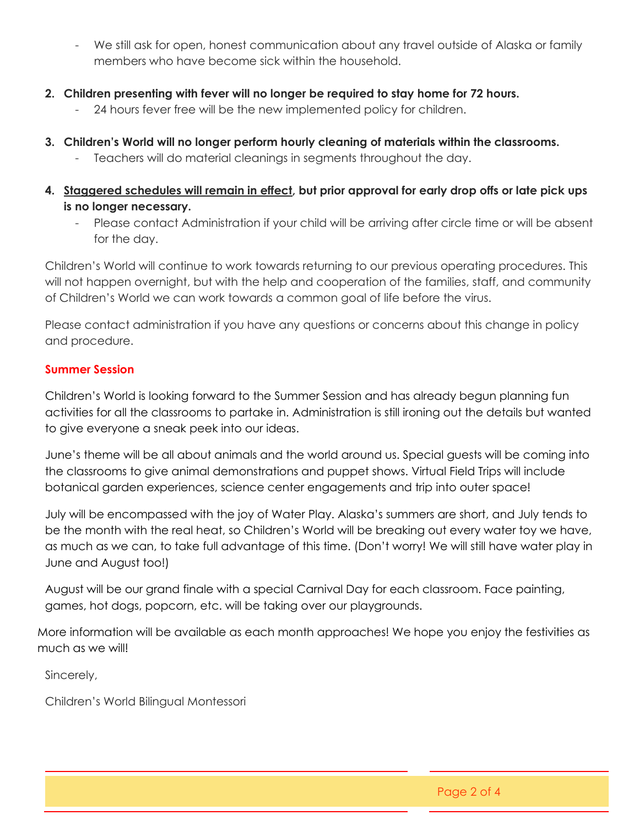- We still ask for open, honest communication about any travel outside of Alaska or family members who have become sick within the household.
- **2. Children presenting with fever will no longer be required to stay home for 72 hours.** 
	- 24 hours fever free will be the new implemented policy for children.
- **3. Children's World will no longer perform hourly cleaning of materials within the classrooms.** 
	- Teachers will do material cleanings in segments throughout the day.
- **4. Staggered schedules will remain in effect, but prior approval for early drop offs or late pick ups is no longer necessary.**
	- Please contact Administration if your child will be arriving after circle time or will be absent for the day.

Children's World will continue to work towards returning to our previous operating procedures. This will not happen overnight, but with the help and cooperation of the families, staff, and community of Children's World we can work towards a common goal of life before the virus.

Please contact administration if you have any questions or concerns about this change in policy and procedure.

### **Summer Session**

Children's World is looking forward to the Summer Session and has already begun planning fun activities for all the classrooms to partake in. Administration is still ironing out the details but wanted to give everyone a sneak peek into our ideas.

June's theme will be all about animals and the world around us. Special guests will be coming into the classrooms to give animal demonstrations and puppet shows. Virtual Field Trips will include botanical garden experiences, science center engagements and trip into outer space!

July will be encompassed with the joy of Water Play. Alaska's summers are short, and July tends to be the month with the real heat, so Children's World will be breaking out every water toy we have, as much as we can, to take full advantage of this time. (Don't worry! We will still have water play in June and August too!)

August will be our grand finale with a special Carnival Day for each classroom. Face painting, games, hot dogs, popcorn, etc. will be taking over our playgrounds.

More information will be available as each month approaches! We hope you enjoy the festivities as much as we will!

Sincerely,

Children's World Bilingual Montessori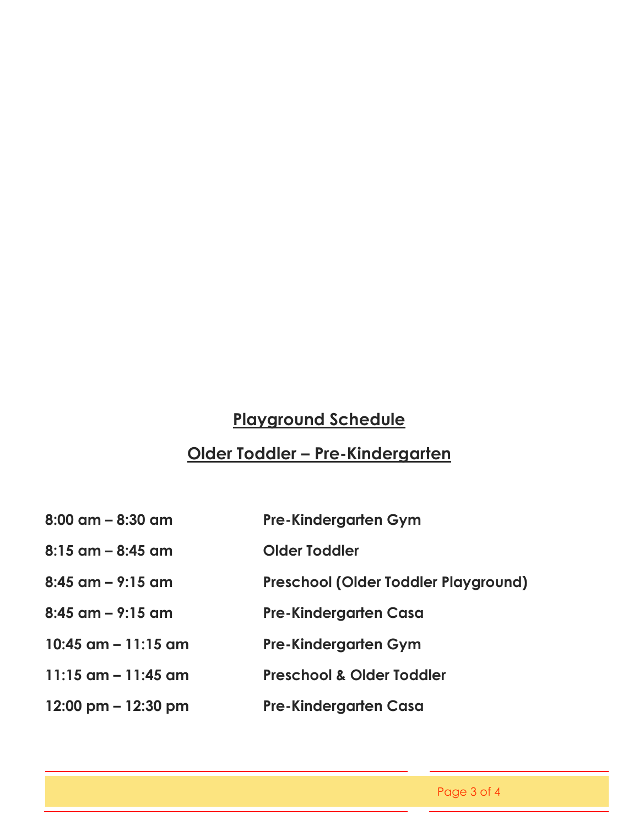## **Playground Schedule**

# **Older Toddler – Pre-Kindergarten**

| $8:00$ am $-8:30$ am                      | <b>Pre-Kindergarten Gym</b>          |
|-------------------------------------------|--------------------------------------|
| $8:15$ am $-8:45$ am                      | <b>Older Toddler</b>                 |
| $8:45$ am – $9:15$ am                     | Preschool (Older Toddler Playground) |
| $8:45$ am – $9:15$ am                     | <b>Pre-Kindergarten Casa</b>         |
| $10:45$ am $-11:15$ am                    | <b>Pre-Kindergarten Gym</b>          |
| 11:15 $\textsf{am}$ – 11:45 $\textsf{am}$ | <b>Preschool &amp; Older Toddler</b> |
| $12:00 \text{ pm} - 12:30 \text{ pm}$     | <b>Pre-Kindergarten Casa</b>         |

Page 3 of 4